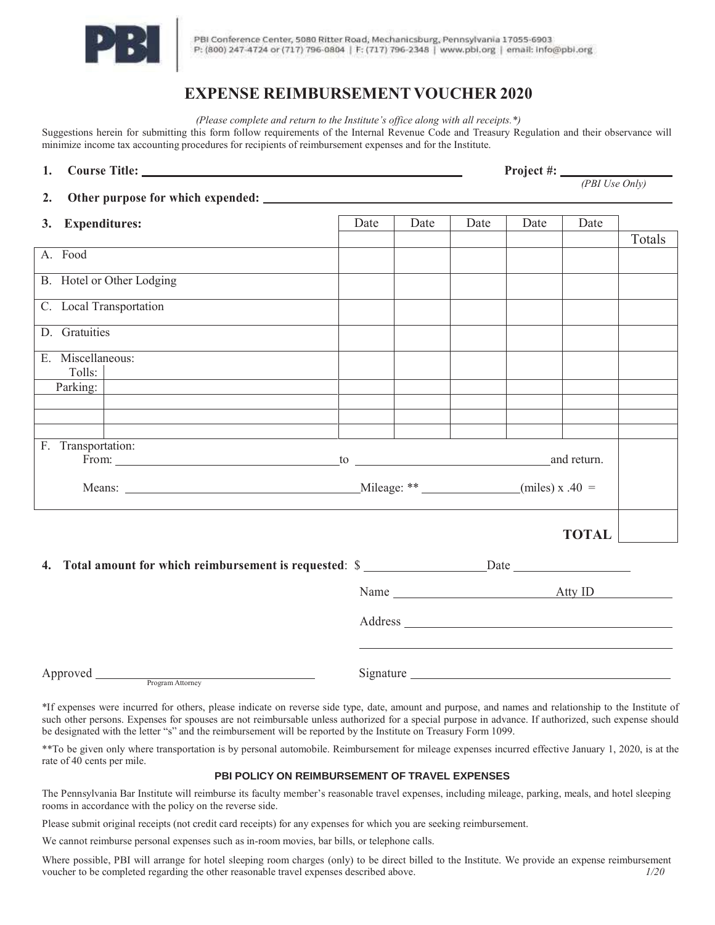

PBI Conference Center, 5080 Ritter Road, Mechanicsburg, Pennsylvania 17055-6903 P: (800) 247-4724 or (717) 796-0804 | F: (717) 796-2348 | www.pbl.org | email: info@pbi.org

## **EXPENSE REIMBURSEMENT VOUCHER 2020**

*(Please complete and return to the Institute's office along with all receipts.\*)*

Suggestions herein for submitting this form follow requirements of the Internal Revenue Code and Treasury Regulation and their observance will minimize income tax accounting procedures for recipients of reimbursement expenses and for the Institute.

| 1.                        |                             |  |  |      |                                                                                                                                                                                                                                |      | <b>Project #:</b> $\frac{P}{PBI Use Only}$ |              |        |  |
|---------------------------|-----------------------------|--|--|------|--------------------------------------------------------------------------------------------------------------------------------------------------------------------------------------------------------------------------------|------|--------------------------------------------|--------------|--------|--|
| 2.                        |                             |  |  |      |                                                                                                                                                                                                                                |      |                                            |              |        |  |
|                           |                             |  |  |      |                                                                                                                                                                                                                                |      |                                            |              |        |  |
| 3.                        | <b>Expenditures:</b>        |  |  | Date | Date                                                                                                                                                                                                                           | Date | Date                                       | Date         | Totals |  |
| A. Food                   |                             |  |  |      |                                                                                                                                                                                                                                |      |                                            |              |        |  |
| B. Hotel or Other Lodging |                             |  |  |      |                                                                                                                                                                                                                                |      |                                            |              |        |  |
|                           | C. Local Transportation     |  |  |      |                                                                                                                                                                                                                                |      |                                            |              |        |  |
| D. Gratuities             |                             |  |  |      |                                                                                                                                                                                                                                |      |                                            |              |        |  |
|                           | E. Miscellaneous:<br>Tolls: |  |  |      |                                                                                                                                                                                                                                |      |                                            |              |        |  |
|                           | Parking:                    |  |  |      |                                                                                                                                                                                                                                |      |                                            |              |        |  |
|                           |                             |  |  |      |                                                                                                                                                                                                                                |      |                                            |              |        |  |
|                           |                             |  |  |      |                                                                                                                                                                                                                                |      |                                            |              |        |  |
|                           | F. Transportation:          |  |  |      |                                                                                                                                                                                                                                |      |                                            |              |        |  |
|                           |                             |  |  |      |                                                                                                                                                                                                                                |      |                                            |              |        |  |
|                           |                             |  |  |      |                                                                                                                                                                                                                                |      |                                            |              |        |  |
|                           |                             |  |  |      |                                                                                                                                                                                                                                |      |                                            | <b>TOTAL</b> |        |  |
| 4.                        |                             |  |  |      |                                                                                                                                                                                                                                |      |                                            |              |        |  |
|                           |                             |  |  |      |                                                                                                                                                                                                                                |      | Name <u>Atty</u> ID                        |              |        |  |
|                           |                             |  |  |      | Address and the contract of the contract of the contract of the contract of the contract of the contract of the contract of the contract of the contract of the contract of the contract of the contract of the contract of th |      |                                            |              |        |  |
|                           |                             |  |  |      |                                                                                                                                                                                                                                |      |                                            |              |        |  |
| Approved Program Attorney |                             |  |  |      |                                                                                                                                                                                                                                |      |                                            |              |        |  |

\*If expenses were incurred for others, please indicate on reverse side type, date, amount and purpose, and names and relationship to the Institute of such other persons. Expenses for spouses are not reimbursable unless authorized for a special purpose in advance. If authorized, such expense should be designated with the letter "s" and the reimbursement will be reported by the Institute on Treasury Form 1099.

\*\*To be given only where transportation is by personal automobile. Reimbursement for mileage expenses incurred effective January 1, 2020, is at the rate of 40 cents per mile.

## **PBI POLICY ON REIMBURSEMENT OF TRAVEL EXPENSES**

The Pennsylvania Bar Institute will reimburse its faculty member's reasonable travel expenses, including mileage, parking, meals, and hotel sleeping rooms in accordance with the policy on the reverse side.

Please submit original receipts (not credit card receipts) for any expenses for which you are seeking reimbursement.

We cannot reimburse personal expenses such as in-room movies, bar bills, or telephone calls.

Where possible, PBI will arrange for hotel sleeping room charges (only) to be direct billed to the Institute. We provide an expense reimbursement voucher to be completed regarding the other reasonable travel expenses described above. *1/20*